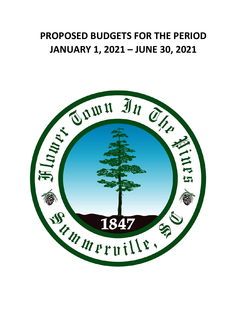## **PROPOSED BUDGETS FOR THE PERIOD JANUARY 1, 2021 – JUNE 30, 2021**

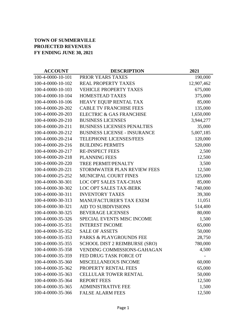## **TOWN OF SUMMERVILLE PROJECTED REVENUES FY ENDING JUNE 30, 2021**

| <b>ACCOUNT</b>    | <b>DESCRIPTION</b>                  | 2021       |
|-------------------|-------------------------------------|------------|
| 100-4-0000-10-101 | PRIOR YEARS TAXES                   | 190,000    |
| 100-4-0000-10-102 | <b>REAL PROPERTY TAXES</b>          | 12,907,462 |
| 100-4-0000-10-103 | <b>VEHICLE PROPERTY TAXES</b>       | 675,000    |
| 100-4-0000-10-104 | <b>HOMESTEAD TAXES</b>              | 375,000    |
| 100-4-0000-10-106 | HEAVY EQUIP RENTAL TAX              | 85,000     |
| 100-4-0000-20-202 | <b>CABLE TV FRANCHISE FEES</b>      | 135,000    |
| 100-4-0000-20-203 | ELECTRIC & GAS FRANCHISE            | 1,650,000  |
| 100-4-0000-20-210 | <b>BUSINESS LICENSES</b>            | 3,944,277  |
| 100-4-0000-20-211 | <b>BUSINESS LICENSES PENALTIES</b>  | 35,000     |
| 100-4-0000-20-212 | <b>BUSINESS LICENSE - INSURANCE</b> | 5,007,185  |
| 100-4-0000-20-214 | <b>TELEPHONE LICENSES/FEES</b>      | 120,000    |
| 100-4-0000-20-216 | <b>BUILDING PERMITS</b>             | 520,000    |
| 100-4-0000-20-217 | <b>RE-INSPECT FEES</b>              | 2,500      |
| 100-4-0000-20-218 | <b>PLANNING FEES</b>                | 12,500     |
| 100-4-0000-20-220 | TREE PERMIT/PENALTY                 | 3,500      |
| 100-4-0000-20-221 | STORMWATER PLAN REVIEW FEES         | 12,500     |
| 100-4-0000-25-252 | <b>MUNICIPAL COURT FINES</b>        | 125,000    |
| 100-4-0000-30-301 | <b>LOC OPT SALES TAX-CHAS</b>       | 85,000     |
| 100-4-0000-30-302 | <b>LOC OPT SALES TAX-BERK</b>       | 740,000    |
| 100-4-0000-30-311 | <b>INVENTORY TAXES</b>              | 39,300     |
| 100-4-0000-30-313 | <b>MANUFACTURER'S TAX EXEM</b>      | 11,051     |
| 100-4-0000-30-321 | <b>AID TO SUBDIVISIONS</b>          | 514,400    |
| 100-4-0000-30-325 | <b>BEVERAGE LICENSES</b>            | 80,000     |
| 100-4-0000-35-326 | SPECIAL EVENTS MISC INCOME          | 1,500      |
| 100-4-0000-35-351 | <b>INTEREST INCOME</b>              | 65,000     |
| 100-4-0000-35-352 | <b>SALE OF ASSETS</b>               | 50,000     |
| 100-4-0000-35-353 | PARKS & PLAYGROUNDS FEE             | 28,750     |
| 100-4-0000-35-355 | SCHOOL DIST 2 REIMBURSE (SRO)       | 780,000    |
| 100-4-0000-35-358 | VENDING COMMISSIONS-GAHAGAN         | 4,500      |
| 100-4-0000-35-359 | FED DRUG TASK FORCE OT              |            |
| 100-4-0000-35-360 | <b>MISCELLANEOUS INCOME</b>         | 60,000     |
| 100-4-0000-35-362 | PROPERTY RENTAL FEES                | 65,000     |
| 100-4-0000-35-363 | <b>CELLULAR TOWER RENTAL</b>        | 50,000     |
| 100-4-0000-35-364 | <b>REPORT FEES</b>                  | 12,500     |
| 100-4-0000-35-365 | <b>ADMINISTRATIVE FEE</b>           | 1,500      |
| 100-4-0000-35-366 | <b>FALSE ALARM FEES</b>             | 12,500     |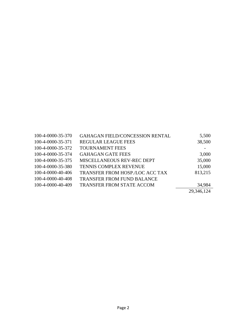| 100-4-0000-35-370 | <b>GAHAGAN FIELD/CONCESSION RENTAL</b> | 5,500      |
|-------------------|----------------------------------------|------------|
| 100-4-0000-35-371 | <b>REGULAR LEAGUE FEES</b>             | 38,500     |
| 100-4-0000-35-372 | <b>TOURNAMENT FEES</b>                 |            |
| 100-4-0000-35-374 | <b>GAHAGAN GATE FEES</b>               | 3,000      |
| 100-4-0000-35-375 | MISCELLANEOUS REV-REC DEPT             | 35,000     |
| 100-4-0000-35-380 | TENNIS COMPLEX REVENUE                 | 15,000     |
| 100-4-0000-40-406 | TRANSFER FROM HOSP./LOC ACC TAX        | 813,215    |
| 100-4-0000-40-408 | <b>TRANSFER FROM FUND BALANCE</b>      |            |
| 100-4-0000-40-409 | <b>TRANSFER FROM STATE ACCOM</b>       | 34,984     |
|                   |                                        | 29,346,124 |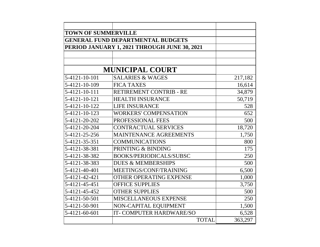| <b>TOWN OF SUMMERVILLE</b> |                                              |         |
|----------------------------|----------------------------------------------|---------|
|                            | <b>GENERAL FUND DEPARTMENTAL BUDGETS</b>     |         |
|                            | PERIOD JANUARY 1, 2021 THROUGH JUNE 30, 2021 |         |
|                            |                                              |         |
|                            |                                              |         |
|                            | <b>MUNICIPAL COURT</b>                       |         |
| 5-4121-10-101              | <b>SALARIES &amp; WAGES</b>                  | 217,182 |
| 5-4121-10-109              | <b>FICA TAXES</b>                            | 16,614  |
| 5-4121-10-111              | RETIREMENT CONTRIB - RE                      | 34,879  |
| 5-4121-10-121              | <b>HEALTH INSURANCE</b>                      | 50,719  |
| 5-4121-10-122              | <b>LIFE INSURANCE</b>                        | 528     |
| 5-4121-10-123              | <b>WORKERS' COMPENSATION</b>                 | 652     |
| 5-4121-20-202              | PROFESSIONAL FEES                            | 500     |
| 5-4121-20-204              | <b>CONTRACTUAL SERVICES</b>                  | 18,720  |
| 5-4121-25-256              | <b>MAINTENANCE AGREEMENTS</b>                | 1,750   |
| 5-4121-35-351              | <b>COMMUNICATIONS</b>                        | 800     |
| 5-4121-38-381              | PRINTING & BINDING                           | 175     |
| 5-4121-38-382              | <b>BOOKS/PERIODICALS/SUBSC</b>               | 250     |
| 5-4121-38-383              | <b>DUES &amp; MEMBERSHIPS</b>                | 500     |
| 5-4121-40-401              | MEETINGS/CONF/TRAINING                       | 6,500   |
| 5-4121-42-421              | <b>OTHER OPERATING EXPENSE</b>               | 1,000   |
| 5-4121-45-451              | <b>OFFICE SUPPLIES</b>                       | 3,750   |
| 5-4121-45-452              | <b>OTHER SUPPLIES</b>                        | 500     |
| 5-4121-50-501              | MISCELLANEOUS EXPENSE                        | 250     |
| 5-4121-50-901              | NON-CAPITAL EQUIPMENT                        | 1,500   |
| 5-4121-60-601              | IT-COMPUTER HARDWARE/SO                      | 6,528   |
|                            | <b>TOTAL</b>                                 | 363,297 |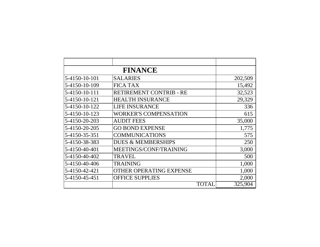|               | <b>FINANCE</b>                |         |
|---------------|-------------------------------|---------|
| 5-4150-10-101 | <b>SALARIES</b>               | 202,509 |
| 5-4150-10-109 | <b>FICA TAX</b>               | 15,492  |
| 5-4150-10-111 | RETIREMENT CONTRIB - RE       | 32,523  |
| 5-4150-10-121 | <b>HEALTH INSURANCE</b>       | 29,329  |
| 5-4150-10-122 | <b>LIFE INSURANCE</b>         | 336     |
| 5-4150-10-123 | <b>WORKER'S COMPENSATION</b>  | 615     |
| 5-4150-20-203 | <b>AUDIT FEES</b>             | 35,000  |
| 5-4150-20-205 | <b>GO BOND EXPENSE</b>        | 1,775   |
| 5-4150-35-351 | <b>COMMUNICATIONS</b>         | 575     |
| 5-4150-38-383 | <b>DUES &amp; MEMBERSHIPS</b> | 250     |
| 5-4150-40-401 | MEETINGS/CONF/TRAINING        | 3,000   |
| 5-4150-40-402 | <b>TRAVEL</b>                 | 500     |
| 5-4150-40-406 | <b>TRAINING</b>               | 1,000   |
| 5-4150-42-421 | OTHER OPERATING EXPENSE       | 1,000   |
| 5-4150-45-451 | <b>OFFICE SUPPLIES</b>        | 2,000   |
|               | TOTAL                         | 325,904 |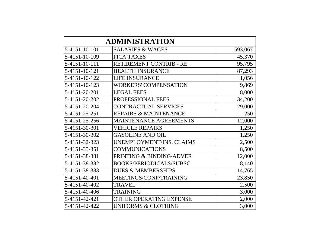|               | <b>ADMINISTRATION</b>            |         |
|---------------|----------------------------------|---------|
| 5-4151-10-101 | <b>SALARIES &amp; WAGES</b>      | 593,067 |
| 5-4151-10-109 | <b>FICA TAXES</b>                | 45,370  |
| 5-4151-10-111 | RETIREMENT CONTRIB - RE          | 95,795  |
| 5-4151-10-121 | <b>HEALTH INSURANCE</b>          | 87,293  |
| 5-4151-10-122 | <b>LIFE INSURANCE</b>            | 1,056   |
| 5-4151-10-123 | <b>WORKERS' COMPENSATION</b>     | 9,869   |
| 5-4151-20-201 | <b>LEGAL FEES</b>                | 8,000   |
| 5-4151-20-202 | PROFESSIONAL FEES                | 34,200  |
| 5-4151-20-204 | <b>CONTRACTUAL SERVICES</b>      | 29,000  |
| 5-4151-25-251 | <b>REPAIRS &amp; MAINTENANCE</b> | 250     |
| 5-4151-25-256 | <b>MAINTENANCE AGREEMENTS</b>    | 12,000  |
| 5-4151-30-301 | <b>VEHICLE REPAIRS</b>           | 1,250   |
| 5-4151-30-302 | <b>GASOLINE AND OIL</b>          | 1,250   |
| 5-4151-32-323 | UNEMPLOYMENT/INS. CLAIMS         | 2,500   |
| 5-4151-35-351 | <b>COMMUNICATIONS</b>            | 8,500   |
| 5-4151-38-381 | PRINTING & BINDING/ADVER         | 12,000  |
| 5-4151-38-382 | <b>BOOKS/PERIODICALS/SUBSC</b>   | 8,140   |
| 5-4151-38-383 | <b>DUES &amp; MEMBERSHIPS</b>    | 14,765  |
| 5-4151-40-401 | MEETINGS/CONF/TRAINING           | 23,850  |
| 5-4151-40-402 | <b>TRAVEL</b>                    | 2,500   |
| 5-4151-40-406 | <b>TRAINING</b>                  | 3,000   |
| 5-4151-42-421 | OTHER OPERATING EXPENSE          | 2,000   |
| 5-4151-42-422 | <b>UNIFORMS &amp; CLOTHING</b>   | 3,000   |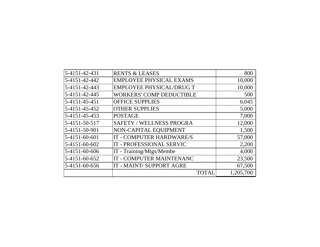| 5-4151-42-431 | <b>RENTS &amp; LEASES</b>       | 800       |
|---------------|---------------------------------|-----------|
| 5-4151-42-442 | <b>EMPLOYEE PHYSICAL EXAMS</b>  | 10,000    |
| 5-4151-42-443 | <b>EMPLOYEE PHYSICAL/DRUG T</b> | 10,000    |
| 5-4151-42-445 | <b>WORKERS' COMP DEDUCTIBLE</b> | 500       |
| 5-4151-45-451 | <b>OFFICE SUPPLIES</b>          | 6,045     |
| 5-4151-45-452 | <b>OTHER SUPPLIES</b>           | 5,000     |
| 5-4151-45-453 | <b>POSTAGE</b>                  | 7,000     |
| 5-4151-50-517 | <b>SAFETY / WELLNESS PROGRA</b> | 12,000    |
| 5-4151-50-901 | NON-CAPITAL EQUIPMENT           | 1,500     |
| 5-4151-60-601 | IT - COMPUTER HARDWARE/S        | 57,000    |
| 5-4151-60-602 | IT - PROFESSIONAL SERVIC        | 2,200     |
| 5-4151-60-606 | IT - Training/Mtgs/Membe        | 4,000     |
| 5-4151-60-652 | IT - COMPUTER MAINTENANC        | 23,500    |
| 5-4151-60-656 | IT - MAINT/ SUPPORT AGRE        | 67,500    |
|               | <b>TOTAL</b>                    | 1,205,700 |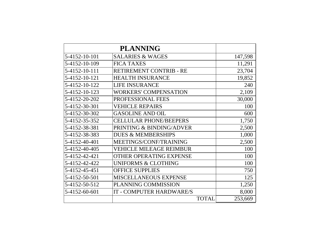|               | <b>PLANNING</b>                |         |
|---------------|--------------------------------|---------|
| 5-4152-10-101 | <b>SALARIES &amp; WAGES</b>    | 147,598 |
| 5-4152-10-109 | <b>FICA TAXES</b>              | 11,291  |
| 5-4152-10-111 | RETIREMENT CONTRIB - RE        | 23,704  |
| 5-4152-10-121 | <b>HEALTH INSURANCE</b>        | 19,852  |
| 5-4152-10-122 | <b>LIFE INSURANCE</b>          | 240     |
| 5-4152-10-123 | <b>WORKERS' COMPENSATION</b>   | 2,109   |
| 5-4152-20-202 | PROFESSIONAL FEES              | 30,000  |
| 5-4152-30-301 | <b>VEHICLE REPAIRS</b>         | 100     |
| 5-4152-30-302 | <b>GASOLINE AND OIL</b>        | 600     |
| 5-4152-35-352 | <b>CELLULAR PHONE/BEEPERS</b>  | 1,750   |
| 5-4152-38-381 | PRINTING & BINDING/ADVER       | 2,500   |
| 5-4152-38-383 | <b>DUES &amp; MEMBERSHIPS</b>  | 1,000   |
| 5-4152-40-401 | MEETINGS/CONF/TRAINING         | 2,500   |
| 5-4152-40-405 | <b>VEHICLE MILEAGE REIMBUR</b> | 100     |
| 5-4152-42-421 | <b>OTHER OPERATING EXPENSE</b> | 100     |
| 5-4152-42-422 | <b>UNIFORMS &amp; CLOTHING</b> | 100     |
| 5-4152-45-451 | <b>OFFICE SUPPLIES</b>         | 750     |
| 5-4152-50-501 | <b>MISCELLANEOUS EXPENSE</b>   | 125     |
| 5-4152-50-512 | PLANNING COMMISSION            | 1,250   |
| 5-4152-60-601 | IT - COMPUTER HARDWARE/S       | 8,000   |
|               | <b>TOTAL</b>                   | 253,669 |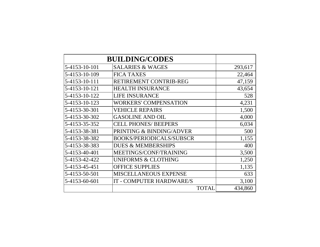|               | <b>BUILDING/CODES</b>           |         |
|---------------|---------------------------------|---------|
| 5-4153-10-101 | <b>SALARIES &amp; WAGES</b>     | 293,617 |
| 5-4153-10-109 | <b>FICA TAXES</b>               | 22,464  |
| 5-4153-10-111 | RETIREMENT CONTRIB-REG          | 47,159  |
| 5-4153-10-121 | <b>HEALTH INSURANCE</b>         | 43,654  |
| 5-4153-10-122 | <b>LIFE INSURANCE</b>           | 528     |
| 5-4153-10-123 | <b>WORKERS' COMPENSATION</b>    | 4,231   |
| 5-4153-30-301 | <b>VEHICLE REPAIRS</b>          | 1,500   |
| 5-4153-30-302 | <b>GASOLINE AND OIL</b>         | 4,000   |
| 5-4153-35-352 | <b>CELL PHONES/ BEEPERS</b>     | 6,034   |
| 5-4153-38-381 | PRINTING & BINDING/ADVER        | 500     |
| 5-4153-38-382 | <b>BOOKS/PERIODICALS/SUBSCR</b> | 1,155   |
| 5-4153-38-383 | <b>DUES &amp; MEMBERSHIPS</b>   | 400     |
| 5-4153-40-401 | MEETINGS/CONF/TRAINING          | 3,500   |
| 5-4153-42-422 | <b>UNIFORMS &amp; CLOTHING</b>  | 1,250   |
| 5-4153-45-451 | <b>OFFICE SUPPLIES</b>          | 1,135   |
| 5-4153-50-501 | MISCELLANEOUS EXPENSE           | 633     |
| 5-4153-60-601 | IT - COMPUTER HARDWARE/S        | 3,100   |
|               | <b>TOTAL</b>                    | 434,860 |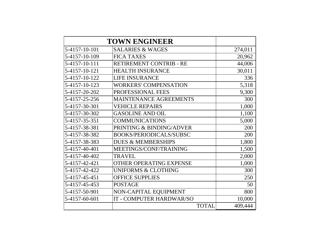|               | <b>TOWN ENGINEER</b>           |         |
|---------------|--------------------------------|---------|
| 5-4157-10-101 | <b>SALARIES &amp; WAGES</b>    | 274,011 |
| 5-4157-10-109 | <b>FICA TAXES</b>              | 20,962  |
| 5-4157-10-111 | RETIREMENT CONTRIB - RE        | 44,006  |
| 5-4157-10-121 | <b>HEALTH INSURANCE</b>        | 30,011  |
| 5-4157-10-122 | <b>LIFE INSURANCE</b>          | 336     |
| 5-4157-10-123 | <b>WORKERS' COMPENSATION</b>   | 5,318   |
| 5-4157-20-202 | PROFESSIONAL FEES              | 9,300   |
| 5-4157-25-256 | <b>MAINTENANCE AGREEMENTS</b>  | 300     |
| 5-4157-30-301 | <b>VEHICLE REPAIRS</b>         | 1,000   |
| 5-4157-30-302 | <b>GASOLINE AND OIL</b>        | 1,100   |
| 5-4157-35-351 | <b>COMMUNICATIONS</b>          | 5,000   |
| 5-4157-38-381 | PRINTING & BINDING/ADVER       | 200     |
| 5-4157-38-382 | <b>BOOKS/PERIODICALS/SUBSC</b> | 200     |
| 5-4157-38-383 | <b>DUES &amp; MEMBERSHIPS</b>  | 1,800   |
| 5-4157-40-401 | MEETINGS/CONF/TRAINING         | 1,500   |
| 5-4157-40-402 | <b>TRAVEL</b>                  | 2,000   |
| 5-4157-42-421 | <b>OTHER OPERATING EXPENSE</b> | 1,000   |
| 5-4157-42-422 | <b>UNIFORMS &amp; CLOTHING</b> | 300     |
| 5-4157-45-451 | <b>OFFICE SUPPLIES</b>         | 250     |
| 5-4157-45-453 | <b>POSTAGE</b>                 | 50      |
| 5-4157-50-901 | NON-CAPITAL EQUIPMENT          | 800     |
| 5-4157-60-601 | IT - COMPUTER HARDWAR/SO       | 10,000  |
|               | <b>TOTAL</b>                   | 409,444 |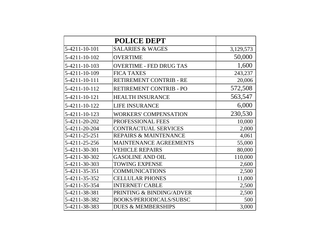|               | <b>POLICE DEPT</b>               |           |
|---------------|----------------------------------|-----------|
| 5-4211-10-101 | <b>SALARIES &amp; WAGES</b>      | 3,129,573 |
| 5-4211-10-102 | <b>OVERTIME</b>                  | 50,000    |
| 5-4211-10-103 | <b>OVERTIME - FED DRUG TAS</b>   | 1,600     |
| 5-4211-10-109 | <b>FICA TAXES</b>                | 243,237   |
| 5-4211-10-111 | RETIREMENT CONTRIB - RE          | 20,006    |
| 5-4211-10-112 | RETIREMENT CONTRIB - PO          | 572,508   |
| 5-4211-10-121 | <b>HEALTH INSURANCE</b>          | 563,547   |
| 5-4211-10-122 | <b>LIFE INSURANCE</b>            | 6,000     |
| 5-4211-10-123 | <b>WORKERS' COMPENSATION</b>     | 230,530   |
| 5-4211-20-202 | PROFESSIONAL FEES                | 10,000    |
| 5-4211-20-204 | <b>CONTRACTUAL SERVICES</b>      | 2,000     |
| 5-4211-25-251 | <b>REPAIRS &amp; MAINTENANCE</b> | 4,061     |
| 5-4211-25-256 | <b>MAINTENANCE AGREEMENTS</b>    | 55,000    |
| 5-4211-30-301 | <b>VEHICLE REPAIRS</b>           | 80,000    |
| 5-4211-30-302 | <b>GASOLINE AND OIL</b>          | 110,000   |
| 5-4211-30-303 | <b>TOWING EXPENSE</b>            | 2,600     |
| 5-4211-35-351 | <b>COMMUNICATIONS</b>            | 2,500     |
| 5-4211-35-352 | <b>CELLULAR PHONES</b>           | 11,000    |
| 5-4211-35-354 | <b>INTERNET/ CABLE</b>           | 2,500     |
| 5-4211-38-381 | PRINTING & BINDING/ADVER         | 2,500     |
| 5-4211-38-382 | <b>BOOKS/PERIODICALS/SUBSC</b>   | 500       |
| 5-4211-38-383 | <b>DUES &amp; MEMBERSHIPS</b>    | 3,000     |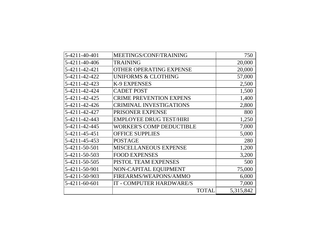| 5-4211-40-401 | MEETINGS/CONF/TRAINING          | 750       |
|---------------|---------------------------------|-----------|
| 5-4211-40-406 | <b>TRAINING</b>                 | 20,000    |
| 5-4211-42-421 | <b>OTHER OPERATING EXPENSE</b>  | 20,000    |
| 5-4211-42-422 | <b>UNIFORMS &amp; CLOTHING</b>  | 57,000    |
| 5-4211-42-423 | K-9 EXPENSES                    | 2,500     |
| 5-4211-42-424 | <b>CADET POST</b>               | 1,500     |
| 5-4211-42-425 | <b>CRIME PREVENTION EXPENS</b>  | 1,400     |
| 5-4211-42-426 | <b>CRIMINAL INVESTIGATIONS</b>  | 2,800     |
| 5-4211-42-427 | PRISONER EXPENSE                | 800       |
| 5-4211-42-443 | <b>EMPLOYEE DRUG TEST/HIRI</b>  | 1,250     |
| 5-4211-42-445 | <b>WORKER'S COMP DEDUCTIBLE</b> | 7,000     |
| 5-4211-45-451 | <b>OFFICE SUPPLIES</b>          | 5,000     |
| 5-4211-45-453 | POSTAGE                         | 280       |
| 5-4211-50-501 | MISCELLANEOUS EXPENSE           | 1,200     |
| 5-4211-50-503 | <b>FOOD EXPENSES</b>            | 3,200     |
| 5-4211-50-505 | PISTOL TEAM EXPENSES            | 500       |
| 5-4211-50-901 | NON-CAPITAL EQUIPMENT           | 75,000    |
| 5-4211-50-903 | FIREARMS/WEAPONS/AMMO           | 6,000     |
| 5-4211-60-601 | IT - COMPUTER HARDWARE/S        | 7,000     |
|               | <b>TOTAL</b>                    | 5,315,842 |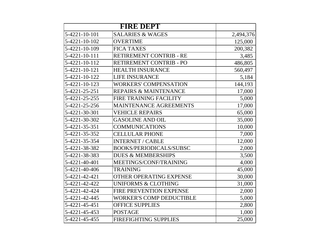|               | <b>FIRE DEPT</b>                 |           |
|---------------|----------------------------------|-----------|
| 5-4221-10-101 | <b>SALARIES &amp; WAGES</b>      | 2,494,376 |
| 5-4221-10-102 | <b>OVERTIME</b>                  | 125,000   |
| 5-4221-10-109 | <b>FICA TAXES</b>                | 200,382   |
| 5-4221-10-111 | RETIREMENT CONTRIB - RE          | 3,485     |
| 5-4221-10-112 | RETIREMENT CONTRIB - PO          | 486,805   |
| 5-4221-10-121 | <b>HEALTH INSURANCE</b>          | 560,497   |
| 5-4221-10-122 | <b>LIFE INSURANCE</b>            | 5,184     |
| 5-4221-10-123 | <b>WORKERS' COMPENSATION</b>     | 144,193   |
| 5-4221-25-251 | <b>REPAIRS &amp; MAINTENANCE</b> | 17,000    |
| 5-4221-25-255 | <b>FIRE TRAINING FACILITY</b>    | 5,000     |
| 5-4221-25-256 | <b>MAINTENANCE AGREEMENTS</b>    | 17,000    |
| 5-4221-30-301 | <b>VEHICLE REPAIRS</b>           | 65,000    |
| 5-4221-30-302 | <b>GASOLINE AND OIL</b>          | 35,000    |
| 5-4221-35-351 | <b>COMMUNICATIONS</b>            | 10,000    |
| 5-4221-35-352 | <b>CELLULAR PHONE</b>            | 7,000     |
| 5-4221-35-354 | <b>INTERNET / CABLE</b>          | 12,000    |
| 5-4221-38-382 | <b>BOOKS/PERIODICALS/SUBSC</b>   | 2,000     |
| 5-4221-38-383 | <b>DUES &amp; MEMBERSHIPS</b>    | 3,500     |
| 5-4221-40-401 | MEETINGS/CONF/TRAINING           | 4,000     |
| 5-4221-40-406 | <b>TRAINING</b>                  | 45,000    |
| 5-4221-42-421 | OTHER OPERATING EXPENSE          | 30,000    |
| 5-4221-42-422 | <b>UNIFORMS &amp; CLOTHING</b>   | 31,000    |
| 5-4221-42-424 | FIRE PREVENTION EXPENSE          | 2,000     |
| 5-4221-42-445 | <b>WORKER'S COMP DEDUCTIBLE</b>  | 5,000     |
| 5-4221-45-451 | <b>OFFICE SUPPLIES</b>           | 2,800     |
| 5-4221-45-453 | <b>POSTAGE</b>                   | 1,000     |
| 5-4221-45-455 | <b>FIREFIGHTING SUPPLIES</b>     | 25,000    |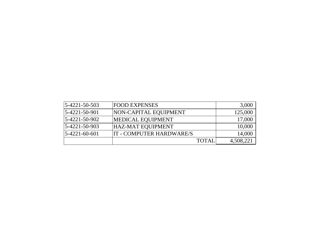| 5-4221-50-503   | <b>FOOD EXPENSES</b>     | 3,000     |
|-----------------|--------------------------|-----------|
| 5-4221-50-901   | NON-CAPITAL EQUIPMENT    | 125,000   |
| 5-4221-50-902   | <b>MEDICAL EQUIPMENT</b> | 17,000    |
| 5-4221-50-903   | <b>HAZ-MAT EQUIPMENT</b> | 10,000    |
| $5-4221-60-601$ | IT - COMPUTER HARDWARE/S | 14,000    |
|                 | TOTAL                    | 4,508,221 |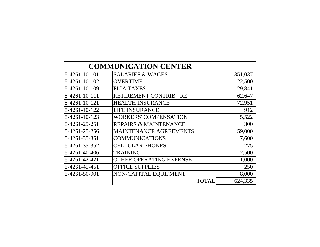|               | <b>COMMUNICATION CENTER</b>      |         |
|---------------|----------------------------------|---------|
| 5-4261-10-101 | <b>SALARIES &amp; WAGES</b>      | 351,037 |
| 5-4261-10-102 | <b>OVERTIME</b>                  | 22,500  |
| 5-4261-10-109 | <b>FICA TAXES</b>                | 29,841  |
| 5-4261-10-111 | RETIREMENT CONTRIB - RE          | 62,647  |
| 5-4261-10-121 | <b>HEALTH INSURANCE</b>          | 72,951  |
| 5-4261-10-122 | <b>LIFE INSURANCE</b>            | 912     |
| 5-4261-10-123 | <b>WORKERS' COMPENSATION</b>     | 5,522   |
| 5-4261-25-251 | <b>REPAIRS &amp; MAINTENANCE</b> | 300     |
| 5-4261-25-256 | <b>MAINTENANCE AGREEMENTS</b>    | 59,000  |
| 5-4261-35-351 | <b>COMMUNICATIONS</b>            | 7,600   |
| 5-4261-35-352 | <b>CELLULAR PHONES</b>           | 275     |
| 5-4261-40-406 | <b>TRAINING</b>                  | 2,500   |
| 5-4261-42-421 | <b>OTHER OPERATING EXPENSE</b>   | 1,000   |
| 5-4261-45-451 | <b>OFFICE SUPPLIES</b>           | 250     |
| 5-4261-50-901 | NON-CAPITAL EQUIPMENT            | 8,000   |
|               | TOTAL                            | 624,335 |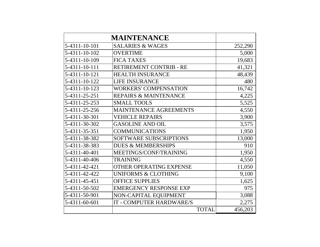|               | <b>MAINTENANCE</b>               |         |
|---------------|----------------------------------|---------|
| 5-4311-10-101 | <b>SALARIES &amp; WAGES</b>      | 252,290 |
| 5-4311-10-102 | <b>OVERTIME</b>                  | 5,000   |
| 5-4311-10-109 | <b>FICA TAXES</b>                | 19,683  |
| 5-4311-10-111 | RETIREMENT CONTRIB - RE          | 41,321  |
| 5-4311-10-121 | <b>HEALTH INSURANCE</b>          | 48,439  |
| 5-4311-10-122 | <b>LIFE INSURANCE</b>            | 480     |
| 5-4311-10-123 | <b>WORKERS' COMPENSATION</b>     | 16,742  |
| 5-4311-25-251 | <b>REPAIRS &amp; MAINTENANCE</b> | 4,225   |
| 5-4311-25-253 | <b>SMALL TOOLS</b>               | 5,525   |
| 5-4311-25-256 | <b>MAINTENANCE AGREEMENTS</b>    | 4,550   |
| 5-4311-30-301 | <b>VEHICLE REPAIRS</b>           | 3,900   |
| 5-4311-30-302 | <b>GASOLINE AND OIL</b>          | 3,575   |
| 5-4311-35-351 | <b>COMMUNICATIONS</b>            | 1,950   |
| 5-4311-38-382 | SOFTWARE SUBSCRIPTIONS           | 13,000  |
| 5-4311-38-383 | <b>DUES &amp; MEMBERSHIPS</b>    | 910     |
| 5-4311-40-401 | MEETINGS/CONF/TRAINING           | 1,950   |
| 5-4311-40-406 | <b>TRAINING</b>                  | 4,550   |
| 5-4311-42-421 | OTHER OPERATING EXPENSE          | 11,050  |
| 5-4311-42-422 | <b>UNIFORMS &amp; CLOTHING</b>   | 9,100   |
| 5-4311-45-451 | <b>OFFICE SUPPLIES</b>           | 1,625   |
| 5-4311-50-502 | <b>EMERGENCY RESPONSE EXP</b>    | 975     |
| 5-4311-50-901 | NON-CAPITAL EQUIPMENT            | 3,088   |
| 5-4311-60-601 | IT - COMPUTER HARDWARE/S         | 2,275   |
|               | <b>TOTAL</b>                     | 456,203 |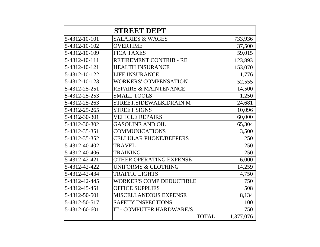|               | <b>STREET DEPT</b>               |           |
|---------------|----------------------------------|-----------|
| 5-4312-10-101 | <b>SALARIES &amp; WAGES</b>      | 733,936   |
| 5-4312-10-102 | <b>OVERTIME</b>                  | 37,500    |
| 5-4312-10-109 | <b>FICA TAXES</b>                | 59,015    |
| 5-4312-10-111 | RETIREMENT CONTRIB - RE          | 123,893   |
| 5-4312-10-121 | <b>HEALTH INSURANCE</b>          | 153,070   |
| 5-4312-10-122 | <b>LIFE INSURANCE</b>            | 1,776     |
| 5-4312-10-123 | <b>WORKERS' COMPENSATION</b>     | 52,555    |
| 5-4312-25-251 | <b>REPAIRS &amp; MAINTENANCE</b> | 14,500    |
| 5-4312-25-253 | <b>SMALL TOOLS</b>               | 1,250     |
| 5-4312-25-263 | STREET, SIDEWALK, DRAIN M        | 24,681    |
| 5-4312-25-265 | <b>STREET SIGNS</b>              | 10,096    |
| 5-4312-30-301 | <b>VEHICLE REPAIRS</b>           | 60,000    |
| 5-4312-30-302 | <b>GASOLINE AND OIL</b>          | 65,304    |
| 5-4312-35-351 | <b>COMMUNICATIONS</b>            | 3,500     |
| 5-4312-35-352 | <b>CELLULAR PHONE/BEEPERS</b>    | 250       |
| 5-4312-40-402 | <b>TRAVEL</b>                    | 250       |
| 5-4312-40-406 | <b>TRAINING</b>                  | 250       |
| 5-4312-42-421 | <b>OTHER OPERATING EXPENSE</b>   | 6,000     |
| 5-4312-42-422 | <b>UNIFORMS &amp; CLOTHING</b>   | 14,259    |
| 5-4312-42-434 | <b>TRAFFIC LIGHTS</b>            | 4,750     |
| 5-4312-42-445 | <b>WORKER'S COMP DEDUCTIBLE</b>  | 750       |
| 5-4312-45-451 | <b>OFFICE SUPPLIES</b>           | 508       |
| 5-4312-50-501 | <b>MISCELLANEOUS EXPENSE</b>     | 8,134     |
| 5-4312-50-517 | <b>SAFETY INSPECTIONS</b>        | 100       |
| 5-4312-60-601 | IT - COMPUTER HARDWARE/S         | 750       |
|               | <b>TOTAL</b>                     | 1,377,076 |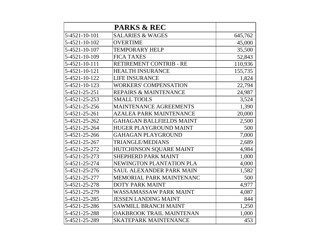|               | <b>PARKS &amp; REC</b>           |         |
|---------------|----------------------------------|---------|
| 5-4521-10-101 | <b>SALARIES &amp; WAGES</b>      | 645,762 |
| 5-4521-10-102 | <b>OVERTIME</b>                  | 45,000  |
| 5-4521-10-107 | <b>TEMPORARY HELP</b>            | 35,500  |
| 5-4521-10-109 | <b>FICA TAXES</b>                | 52,843  |
| 5-4521-10-111 | RETIREMENT CONTRIB - RE          | 110,936 |
| 5-4521-10-121 | <b>HEALTH INSURANCE</b>          | 155,735 |
| 5-4521-10-122 | <b>LIFE INSURANCE</b>            | 1,824   |
| 5-4521-10-123 | <b>WORKERS' COMPENSATION</b>     | 22,794  |
| 5-4521-25-251 | <b>REPAIRS &amp; MAINTENANCE</b> | 24,987  |
| 5-4521-25-253 | <b>SMALL TOOLS</b>               | 3,524   |
| 5-4521-25-256 | <b>MAINTENANCE AGREEMENTS</b>    | 1,390   |
| 5-4521-25-261 | <b>AZALEA PARK MAINTENANCE</b>   | 20,000  |
| 5-4521-25-262 | <b>GAHAGAN BALLFIELDS MAINT</b>  | 2,500   |
| 5-4521-25-264 | <b>HUGER PLAYGROUND MAINT</b>    | 500     |
| 5-4521-25-266 | <b>GAHAGAN PLAYGROUND</b>        | 7,000   |
| 5-4521-25-267 | <b>TRIANGLE/MEDIANS</b>          | 2,689   |
| 5-4521-25-272 | HUTCHINSON SQUARE MAINT          | 4,984   |
| 5-4521-25-273 | <b>SHEPHERD PARK MAINT</b>       | 1,000   |
| 5-4521-25-274 | NEWINGTON PLANTATION PLA         | 4,000   |
| 5-4521-25-276 | <b>SAUL ALEXANDER PARK MAIN</b>  | 1,582   |
| 5-4521-25-277 | MEMORIAL PARK MAINTENANC         | 500     |
| 5-4521-25-278 | <b>DOTY PARK MAINT</b>           | 4,977   |
| 5-4521-25-279 | <b>WASSAMASSAW PARK MAINT</b>    | 4,087   |
| 5-4521-25-285 | <b>JESSEN LANDING MAINT</b>      | 844     |
| 5-4521-25-286 | <b>SAWMILL BRANCH MAINT</b>      | 1,250   |
| 5-4521-25-288 | OAKBROOK TRAIL MAINTENAN         | 1,000   |
| 5-4521-25-289 | <b>SKATEPARK MAINTENANCE</b>     | 453     |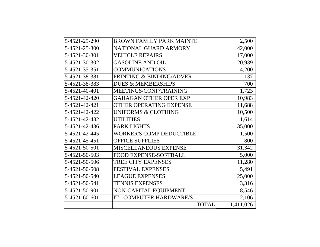| 5-4521-25-290 | <b>BROWN FAMILY PARK MAINTE</b> | 2,500     |
|---------------|---------------------------------|-----------|
| 5-4521-25-300 | NATIONAL GUARD ARMORY           | 42,000    |
| 5-4521-30-301 | <b>VEHICLE REPAIRS</b>          | 17,000    |
| 5-4521-30-302 | <b>GASOLINE AND OIL</b>         | 20,939    |
| 5-4521-35-351 | <b>COMMUNICATIONS</b>           | 4,200     |
| 5-4521-38-381 | PRINTING & BINDING/ADVER        | 137       |
| 5-4521-38-383 | <b>DUES &amp; MEMBERSHIPS</b>   | 700       |
| 5-4521-40-401 | MEETINGS/CONF/TRAINING          | 1,723     |
| 5-4521-42-420 | <b>GAHAGAN OTHER OPER EXP</b>   | 10,983    |
| 5-4521-42-421 | <b>OTHER OPERATING EXPENSE</b>  | 11,688    |
| 5-4521-42-422 | <b>UNIFORMS &amp; CLOTHING</b>  | 10,500    |
| 5-4521-42-432 | <b>UTILITIES</b>                | 1,614     |
| 5-4521-42-436 | <b>PARK LIGHTS</b>              | 35,000    |
| 5-4521-42-445 | <b>WORKER'S COMP DEDUCTIBLE</b> | 1,500     |
| 5-4521-45-451 | <b>OFFICE SUPPLIES</b>          | 800       |
| 5-4521-50-501 | MISCELLANEOUS EXPENSE           | 31,342    |
| 5-4521-50-503 | <b>FOOD EXPENSE-SOFTBALL</b>    | 5,000     |
| 5-4521-50-506 | <b>TREE CITY EXPENSES</b>       | 11,280    |
| 5-4521-50-508 | <b>FESTIVAL EXPENSES</b>        | 5,491     |
| 5-4521-50-540 | <b>LEAGUE EXPENSES</b>          | 25,000    |
| 5-4521-50-541 | <b>TENNIS EXPENSES</b>          | 3,316     |
| 5-4521-50-901 | NON-CAPITAL EQUIPMENT           | 8,546     |
| 5-4521-60-601 | IT - COMPUTER HARDWARE/S        | 2,106     |
|               | <b>TOTAL</b>                    | 1,411,026 |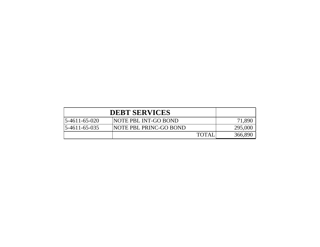|                        | <b>DEBT SERVICES</b>   |              |         |
|------------------------|------------------------|--------------|---------|
| $15 - 4611 - 65 - 020$ | NOTE PBL INT-GO BOND   |              | 71,890  |
| $15 - 4611 - 65 - 035$ | NOTE PBL PRINC-GO BOND |              | 295,000 |
|                        |                        | <b>TOTAI</b> | 366,890 |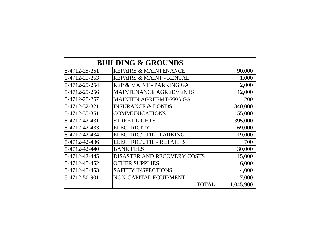|               | <b>BUILDING &amp; GROUNDS</b>      |           |
|---------------|------------------------------------|-----------|
| 5-4712-25-251 | <b>REPAIRS &amp; MAINTENANCE</b>   | 90,000    |
| 5-4712-25-253 | REPAIRS & MAINT - RENTAL           | 1,000     |
| 5-4712-25-254 | REP & MAINT - PARKING GA           | 2,000     |
| 5-4712-25-256 | <b>MAINTENANCE AGREEMENTS</b>      | 12,000    |
| 5-4712-25-257 | <b>MAINTEN AGREEMT-PKG GA</b>      | 200       |
| 5-4712-32-321 | <b>INSURANCE &amp; BONDS</b>       | 340,000   |
| 5-4712-35-351 | <b>COMMUNICATIONS</b>              | 55,000    |
| 5-4712-42-431 | <b>STREET LIGHTS</b>               | 395,000   |
| 5-4712-42-433 | <b>ELECTRICITY</b>                 | 69,000    |
| 5-4712-42-434 | ELECTRIC/UTIL - PARKING            | 19,000    |
| 5-4712-42-436 | ELECTRIC/UTIL - RETAIL B           | 700       |
| 5-4712-42-440 | <b>BANK FEES</b>                   | 30,000    |
| 5-4712-42-445 | <b>DISASTER AND RECOVERY COSTS</b> | 15,000    |
| 5-4712-45-452 | <b>OTHER SUPPLIES</b>              | 6,000     |
| 5-4712-45-453 | <b>SAFETY INSPECTIONS</b>          | 4,000     |
| 5-4712-50-901 | NON-CAPITAL EQUIPMENT              | 7,000     |
|               | TOTAL                              | 1,045,900 |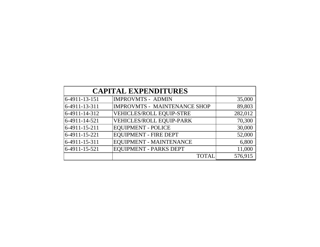|               | <b>CAPITAL EXPENDITURES</b>         |         |
|---------------|-------------------------------------|---------|
| 6-4911-13-151 | <b>IMPROVMTS - ADMIN</b>            | 35,000  |
| 6-4911-13-311 | <b>IMPROVMTS - MAINTENANCE SHOP</b> | 89,803  |
| 6-4911-14-312 | VEHICLES/ROLL EQUIP-STRE            | 282,012 |
| 6-4911-14-521 | <b>VEHICLES/ROLL EQUIP-PARK</b>     | 70,300  |
| 6-4911-15-211 | <b>EQUIPMENT - POLICE</b>           | 30,000  |
| 6-4911-15-221 | <b>EQUIPMENT - FIRE DEPT</b>        | 52,000  |
| 6-4911-15-311 | <b>EQUIPMENT - MAINTENANCE</b>      | 6,800   |
| 6-4911-15-521 | <b>EQUIPMENT - PARKS DEPT</b>       | 11,000  |
|               | <b>TOTAL</b>                        | 576,915 |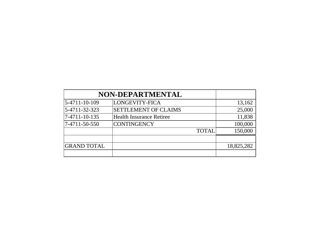|                    | NON-DEPARTMENTAL                |            |
|--------------------|---------------------------------|------------|
| 5-4711-10-109      | LONGEVITY-FICA                  | 13,162     |
| 5-4711-32-323      | <b>SETTLEMENT OF CLAIMS</b>     | 25,000     |
| 7-4711-10-135      | <b>Health Insurance Retiree</b> | 11,838     |
| 7-4711-50-550      | <b>CONTINGENCY</b>              | 100,000    |
|                    | <b>TOTAL</b>                    | 150,000    |
|                    |                                 |            |
| <b>GRAND TOTAL</b> |                                 | 18,825,282 |
|                    |                                 |            |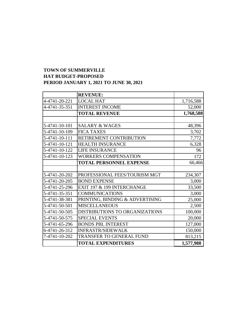## **TOWN OF SUMMERVILLE HAT BUDGET-PROPOSED PERIOD JANUARY 1, 2021 TO JUNE 30, 2021**

|               | <b>REVENUE:</b>                 |           |
|---------------|---------------------------------|-----------|
| 4-4741-20-221 | <b>LOCAL HAT</b>                | 1,716,588 |
| 4-4741-35-351 | <b>INTEREST INCOME</b>          | 52,000    |
|               | <b>TOTAL REVENUE</b>            | 1,768,588 |
|               |                                 |           |
| 5-4741-10-101 | <b>SALARY &amp; WAGES</b>       | 48,396    |
| 5-4741-10-109 | <b>FICA TAXES</b>               | 3,702     |
| 5-4741-10-111 | RETIREMENT CONTRIBUTION         | 7,772     |
| 5-4741-10-121 | <b>HEALTH INSURANCE</b>         | 6,328     |
| 5-4741-10-122 | <b>LIFE INSURANCE</b>           | 96        |
| 5-4741-10-123 | <b>WORKERS COMPENSATION</b>     | 172       |
|               | <b>TOTAL PERSONNEL EXPENSE</b>  | 66,466    |
|               |                                 |           |
| 5-4741-20-202 | PROFESSIONAL FEES/TOURISM MGT   | 234,307   |
| 5-4741-20-205 | <b>BOND EXPENSE</b>             | 3,000     |
| 5-4741-25-296 | EXIT 197 & 199 INTERCHANGE      | 33,500    |
| 5-4741-35-351 | <b>COMMUNICATIONS</b>           | 3,000     |
| 5-4741-38-381 | PRINTING, BINDING & ADVERTISING | 25,000    |
| 5-4741-50-501 | <b>MISCELLANEOUS</b>            | 2,500     |
| 5-4741-50-505 | DISTRIBUTIONS TO ORGANIZATIONS  | 100,000   |
| 5-4741-50-575 | <b>SPECIAL EVENTS</b>           | 20,000    |
| 5-4741-65-296 | <b>BONDS PBL INTEREST</b>       | 127,000   |
| 6-4741-26-312 | <b>INFRASTR/SIDEWALK</b>        | 150,000   |
| 7-4741-10-202 | <b>TRANSFER TO GENERAL FUND</b> | 813,215   |
|               | <b>TOTAL EXPENDITURES</b>       | 1,577,988 |